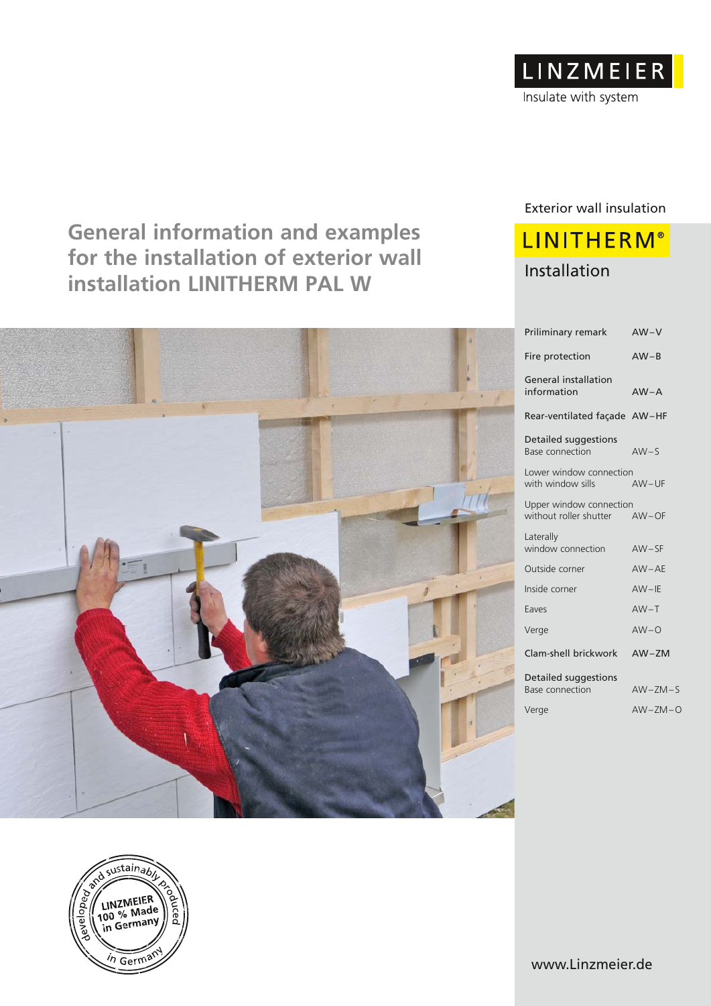

## **General information and examples for the installation of exterior wall installation LINITHERM PAL W** Installation



### Exterior wall insulation

# **LINITHERM®**

| $AW-V$                             |
|------------------------------------|
| $AW - B$                           |
| $AW - A$                           |
| Rear-ventilated façade AW-HF       |
| $AW-S$                             |
| Lower window connection<br>$AW-UF$ |
| Upper window connection<br>AW-OF   |
| $AW-SF$                            |
| $AW-AE$                            |
| $AW-IE$                            |
| $AW-T$                             |
| $AW-O$                             |
| $AW-ZM$                            |
| $AW-ZM-S$                          |
| $AW-ZM-O$                          |
|                                    |



www.Linzmeier.de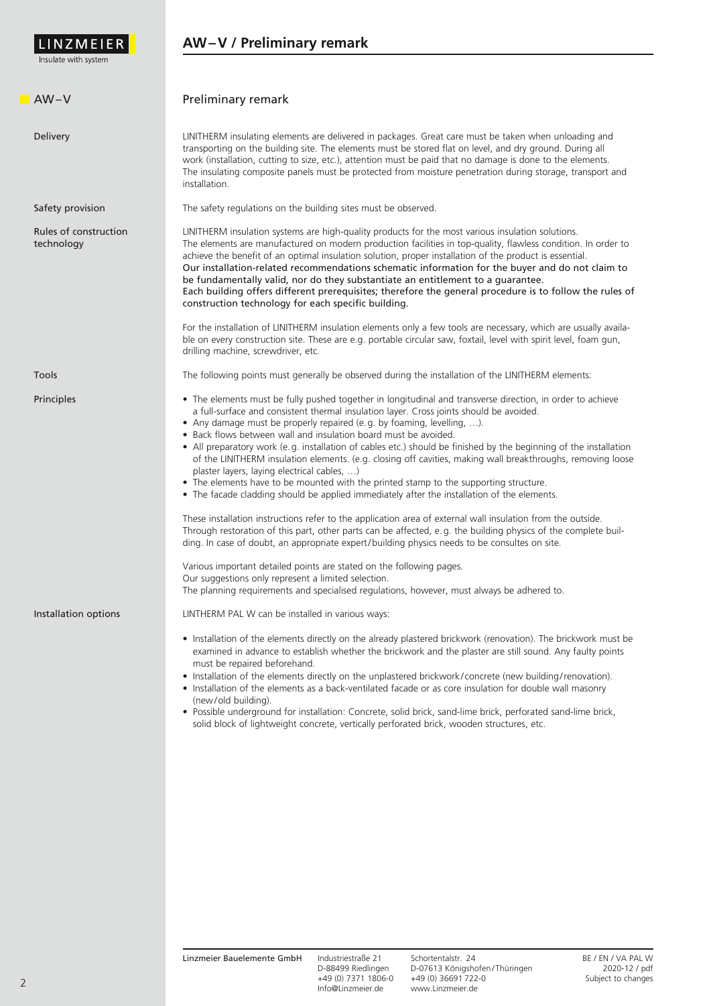

| $AW-V$                              | Preliminary remark                                                                                                                                                                                                                                                                                                                                                                                                                                                                                                                                                                                                                                                                                                                                                                                                                                                                                                                                                                                                                                                                                                                                                                                                                                                                                                                                                                           |  |  |
|-------------------------------------|----------------------------------------------------------------------------------------------------------------------------------------------------------------------------------------------------------------------------------------------------------------------------------------------------------------------------------------------------------------------------------------------------------------------------------------------------------------------------------------------------------------------------------------------------------------------------------------------------------------------------------------------------------------------------------------------------------------------------------------------------------------------------------------------------------------------------------------------------------------------------------------------------------------------------------------------------------------------------------------------------------------------------------------------------------------------------------------------------------------------------------------------------------------------------------------------------------------------------------------------------------------------------------------------------------------------------------------------------------------------------------------------|--|--|
| Delivery                            | LINITHERM insulating elements are delivered in packages. Great care must be taken when unloading and<br>transporting on the building site. The elements must be stored flat on level, and dry ground. During all<br>work (installation, cutting to size, etc.), attention must be paid that no damage is done to the elements.<br>The insulating composite panels must be protected from moisture penetration during storage, transport and<br>installation.                                                                                                                                                                                                                                                                                                                                                                                                                                                                                                                                                                                                                                                                                                                                                                                                                                                                                                                                 |  |  |
| Safety provision                    | The safety regulations on the building sites must be observed.                                                                                                                                                                                                                                                                                                                                                                                                                                                                                                                                                                                                                                                                                                                                                                                                                                                                                                                                                                                                                                                                                                                                                                                                                                                                                                                               |  |  |
| Rules of construction<br>technology | LINITHERM insulation systems are high-quality products for the most various insulation solutions.<br>The elements are manufactured on modern production facilities in top-quality, flawless condition. In order to<br>achieve the benefit of an optimal insulation solution, proper installation of the product is essential.<br>Our installation-related recommendations schematic information for the buyer and do not claim to<br>be fundamentally valid, nor do they substantiate an entitlement to a guarantee.<br>Each building offers different prerequisites; therefore the general procedure is to follow the rules of<br>construction technology for each specific building.                                                                                                                                                                                                                                                                                                                                                                                                                                                                                                                                                                                                                                                                                                       |  |  |
|                                     | For the installation of LINITHERM insulation elements only a few tools are necessary, which are usually availa-<br>ble on every construction site. These are e.g. portable circular saw, foxtail, level with spirit level, foam gun,<br>drilling machine, screwdriver, etc.                                                                                                                                                                                                                                                                                                                                                                                                                                                                                                                                                                                                                                                                                                                                                                                                                                                                                                                                                                                                                                                                                                                  |  |  |
| Tools                               | The following points must generally be observed during the installation of the LINITHERM elements:                                                                                                                                                                                                                                                                                                                                                                                                                                                                                                                                                                                                                                                                                                                                                                                                                                                                                                                                                                                                                                                                                                                                                                                                                                                                                           |  |  |
| Principles                          | • The elements must be fully pushed together in longitudinal and transverse direction, in order to achieve<br>a full-surface and consistent thermal insulation layer. Cross joints should be avoided.<br>• Any damage must be properly repaired (e.g. by foaming, levelling, ).<br>• Back flows between wall and insulation board must be avoided.<br>• All preparatory work (e.g. installation of cables etc.) should be finished by the beginning of the installation<br>of the LINITHERM insulation elements. (e.g. closing off cavities, making wall breakthroughs, removing loose<br>plaster layers, laying electrical cables, )<br>• The elements have to be mounted with the printed stamp to the supporting structure.<br>• The facade cladding should be applied immediately after the installation of the elements.<br>These installation instructions refer to the application area of external wall insulation from the outside.<br>Through restoration of this part, other parts can be affected, e.g. the building physics of the complete buil-<br>ding. In case of doubt, an appropriate expert/building physics needs to be consultes on site.<br>Various important detailed points are stated on the following pages.<br>Our suggestions only represent a limited selection.<br>The planning requirements and specialised regulations, however, must always be adhered to. |  |  |
| Installation options                | LINTHERM PAL W can be installed in various ways:<br>• Installation of the elements directly on the already plastered brickwork (renovation). The brickwork must be<br>examined in advance to establish whether the brickwork and the plaster are still sound. Any faulty points<br>must be repaired beforehand.<br>• Installation of the elements directly on the unplastered brickwork/concrete (new building/renovation).<br>• Installation of the elements as a back-ventilated facade or as core insulation for double wall masonry<br>(new/old building).<br>. Possible underground for installation: Concrete, solid brick, sand-lime brick, perforated sand-lime brick,<br>solid block of lightweight concrete, vertically perforated brick, wooden structures, etc.                                                                                                                                                                                                                                                                                                                                                                                                                                                                                                                                                                                                                  |  |  |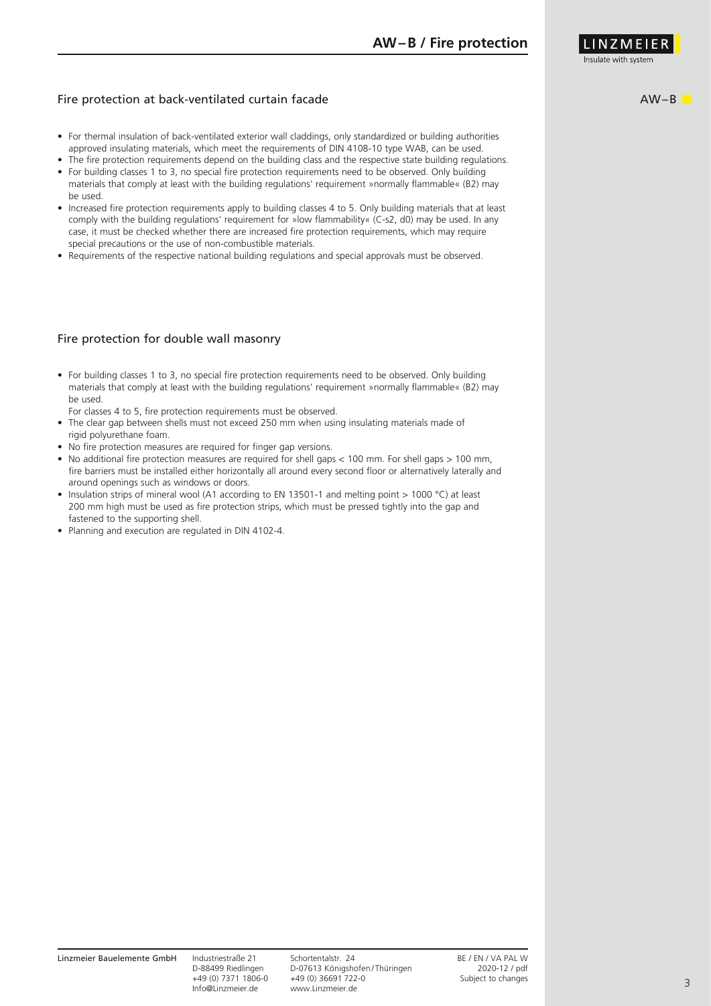

#### Fire protection at back-ventilated curtain facade

- For thermal insulation of back-ventilated exterior wall claddings, only standardized or building authorities approved insulating materials, which meet the requirements of DIN 4108-10 type WAB, can be used.
- The fire protection requirements depend on the building class and the respective state building regulations. • For building classes 1 to 3, no special fire protection requirements need to be observed. Only building materials that comply at least with the building regulations' requirement »normally flammable« (B2) may be used.
- Increased fire protection requirements apply to building classes 4 to 5. Only building materials that at least comply with the building regulations' requirement for »low flammability« (C-s2, d0) may be used. In any case, it must be checked whether there are increased fire protection requirements, which may require special precautions or the use of non-combustible materials.
- Requirements of the respective national building regulations and special approvals must be observed.

#### Fire protection for double wall masonry

- For building classes 1 to 3, no special fire protection requirements need to be observed. Only building materials that comply at least with the building regulations' requirement »normally flammable« (B2) may be used.
- For classes 4 to 5, fire protection requirements must be observed.
- The clear gap between shells must not exceed 250 mm when using insulating materials made of rigid polyurethane foam.
- No fire protection measures are required for finger gap versions.
- No additional fire protection measures are required for shell gaps < 100 mm. For shell gaps > 100 mm, fire barriers must be installed either horizontally all around every second floor or alternatively laterally and around openings such as windows or doors.
- Insulation strips of mineral wool (A1 according to EN 13501-1 and melting point > 1000 °C) at least 200 mm high must be used as fire protection strips, which must be pressed tightly into the gap and fastened to the supporting shell.
- Planning and execution are regulated in DIN 4102-4.

AW–B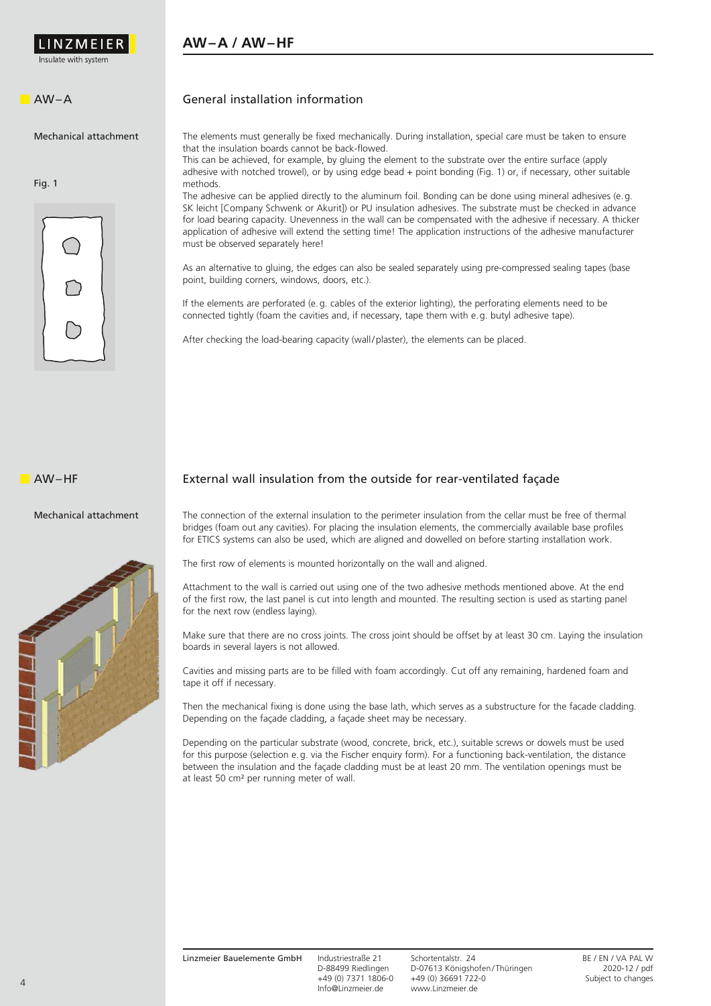

#### **AW–A / AW–HF**

#### AW–A

Mechanical attachment

Fig. 1



#### General installation information

The elements must generally be fixed mechanically. During installation, special care must be taken to ensure that the insulation boards cannot be back-flowed.

This can be achieved, for example, by gluing the element to the substrate over the entire surface (apply adhesive with notched trowel), or by using edge bead + point bonding (Fig. 1) or, if necessary, other suitable methods.

The adhesive can be applied directly to the aluminum foil. Bonding can be done using mineral adhesives (e.g. SK leicht [Company Schwenk or Akurit]) or PU insulation adhesives. The substrate must be checked in advance for load bearing capacity. Unevenness in the wall can be compensated with the adhesive if necessary. A thicker application of adhesive will extend the setting time! The application instructions of the adhesive manufacturer must be observed separately here!

As an alternative to gluing, the edges can also be sealed separately using pre-compressed sealing tapes (base point, building corners, windows, doors, etc.).

If the elements are perforated (e.g. cables of the exterior lighting), the perforating elements need to be connected tightly (foam the cavities and, if necessary, tape them with e.g. butyl adhesive tape).

After checking the load-bearing capacity (wall/plaster), the elements can be placed.

External wall insulation from the outside for rear-ventilated façade

AW–HF

#### Mechanical attachment



The connection of the external insulation to the perimeter insulation from the cellar must be free of thermal bridges (foam out any cavities). For placing the insulation elements, the commercially available base profiles for ETICS systems can also be used, which are aligned and dowelled on before starting installation work.

The first row of elements is mounted horizontally on the wall and aligned.

Attachment to the wall is carried out using one of the two adhesive methods mentioned above. At the end of the first row, the last panel is cut into length and mounted. The resulting section is used as starting panel for the next row (endless laying).

Make sure that there are no cross joints. The cross joint should be offset by at least 30 cm. Laying the insulation boards in several layers is not allowed.

Cavities and missing parts are to be filled with foam accordingly. Cut off any remaining, hardened foam and tape it off if necessary.

Then the mechanical fixing is done using the base lath, which serves as a substructure for the facade cladding. Depending on the façade cladding, a façade sheet may be necessary.

Depending on the particular substrate (wood, concrete, brick, etc.), suitable screws or dowels must be used for this purpose (selection e.g. via the Fischer enquiry form). For a functioning back-ventilation, the distance between the insulation and the façade cladding must be at least 20 mm. The ventilation openings must be at least 50 cm² per running meter of wall.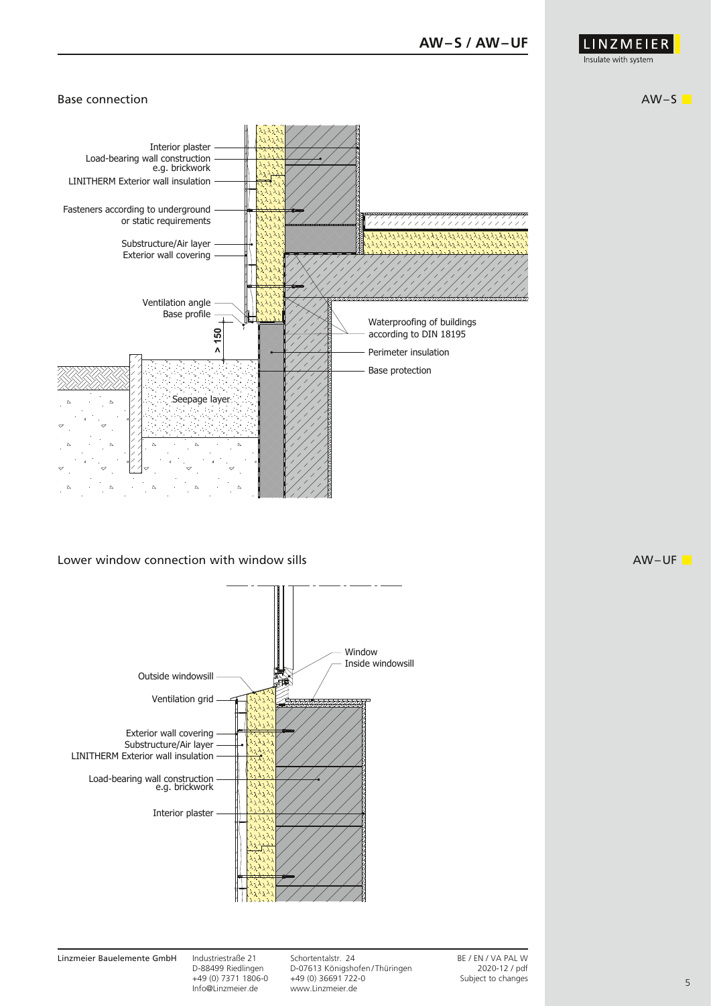

#### Base connection and a set of the set of the set of the set of the set of the set of the set of the set of the set of the set of the set of the set of the set of the set of the set of the set of the set of the set of the se



#### Lower window connection with window sills



Linzmeier Bauelemente GmbH Industriestraße 21 Schortentalstr. 24 BE / EN / VA PAL W<br>D-88499 Riedlingen D-07613 Königshofen/Thüringen 2020-12 / pdf D-88499 Riedlingen D-07613 Königshofen/Thüringen 2020-12 / pdf<br>
+49 (0) 7371 1806-0 +49 (0) 36691 722-0 +49 (0) 7371 1806-0 +49 (0) 36691 722-0<br>Info@Linzmeier.de www.Linzmeier.de www.Linzmeier.de

 $\blacksquare$ AW-UF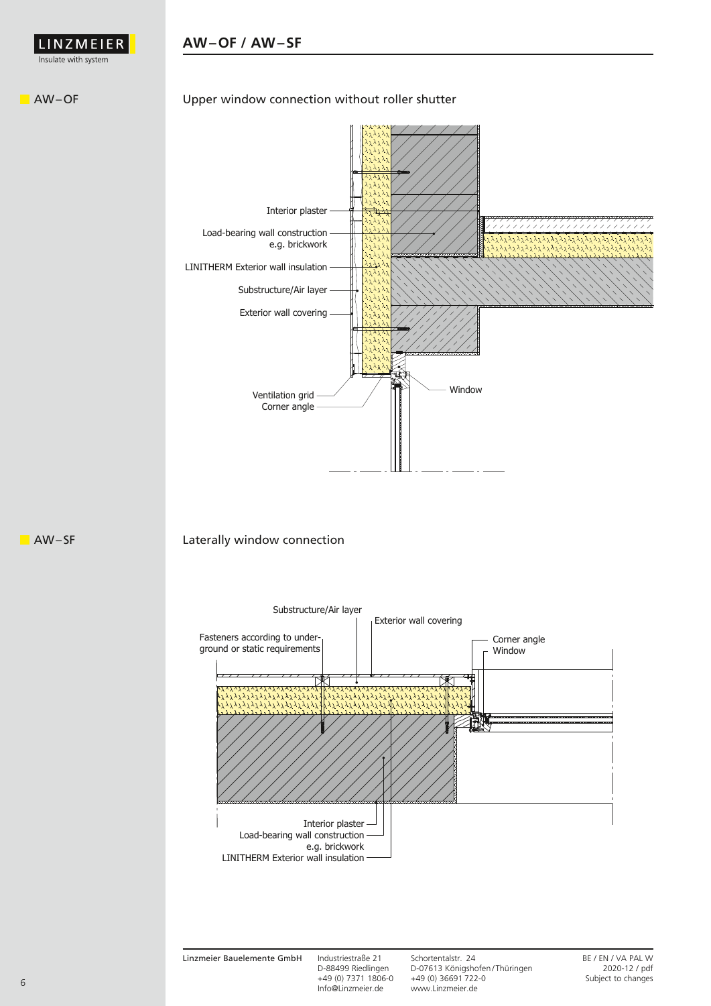

#### **AW–OF / AW–SF**

#### **NAW-OF**

#### Upper window connection without roller shutter



E AW– SF

#### Laterally window connection

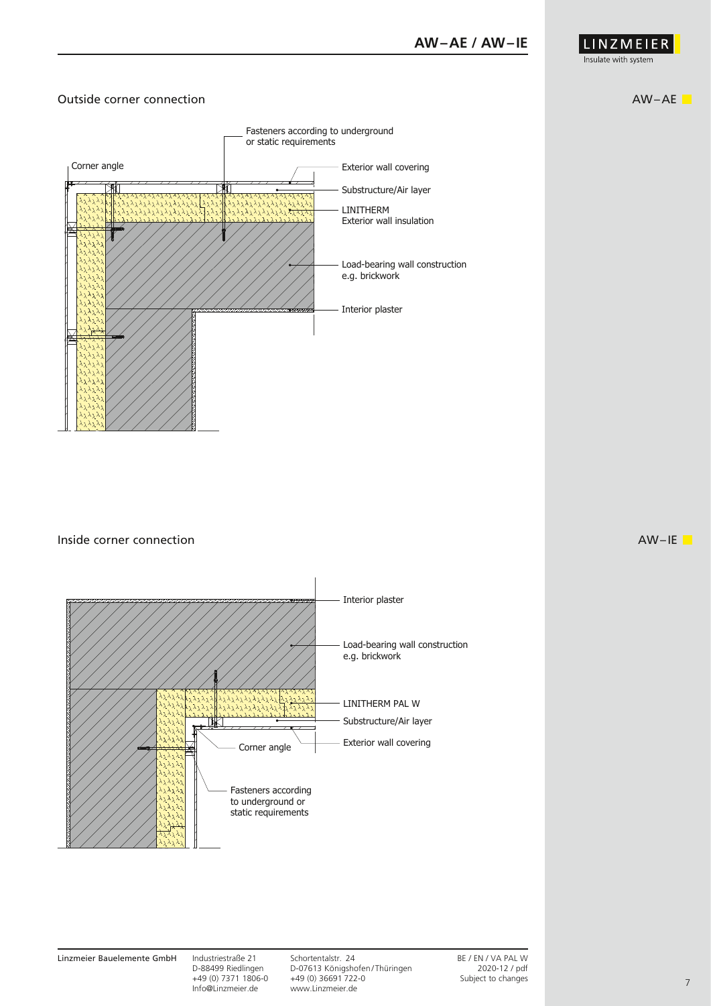

#### Outside corner connection AW–AE



 $\blacksquare$  Inside corner connection  $\blacksquare$ 



Linzmeier Bauelemente GmbH Industriestraße 21 Schortentalstr. 24 BE / EN / VA PAL W<br>D-88499 Riedlingen D-07613 Königshofen/Thüringen 2020-12 / pdf D-88499 Riedlingen D-07613 Königshofen/Thüringen 2020-12 / pdf +49 (0) 7371 1806-0 +49 (0) 36691 722-0 +49 (0) 7371 1806-0 +49 (0) 36691 722-0<br>Info@Linzmeier.de www.Linzmeier.de www.Linzmeier.de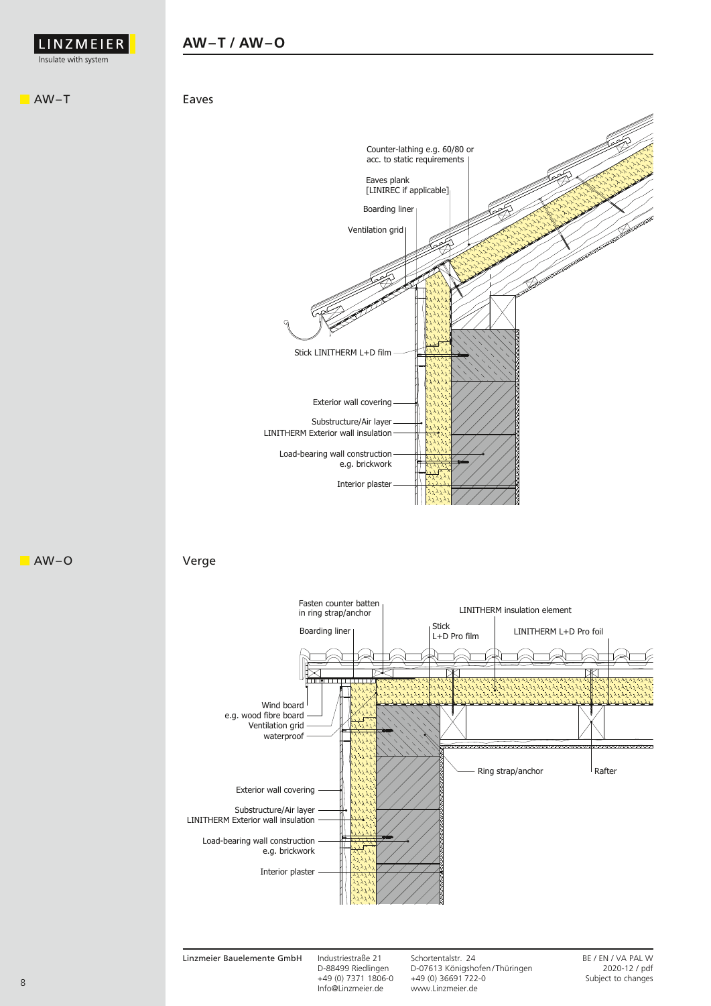

#### **AW–T / AW–O**

AW–T







Linzmeier Bauelemente GmbH Industriestraße 21 Schortentalstr. 24 BE / EN / VA PAL W<br>D-88499 Riedlingen D-07613 Königshofen/Thüringen 2020-12 / pdf D-88499 Riedlingen D-07613 Königshofen / Thüringen 2020-12 / pdf +49 (0) 7371 1806-0 +49 (0) 36691 722-0<br>Info@Linzmeier.de www.Linzmeier.de www.Linzmeier.de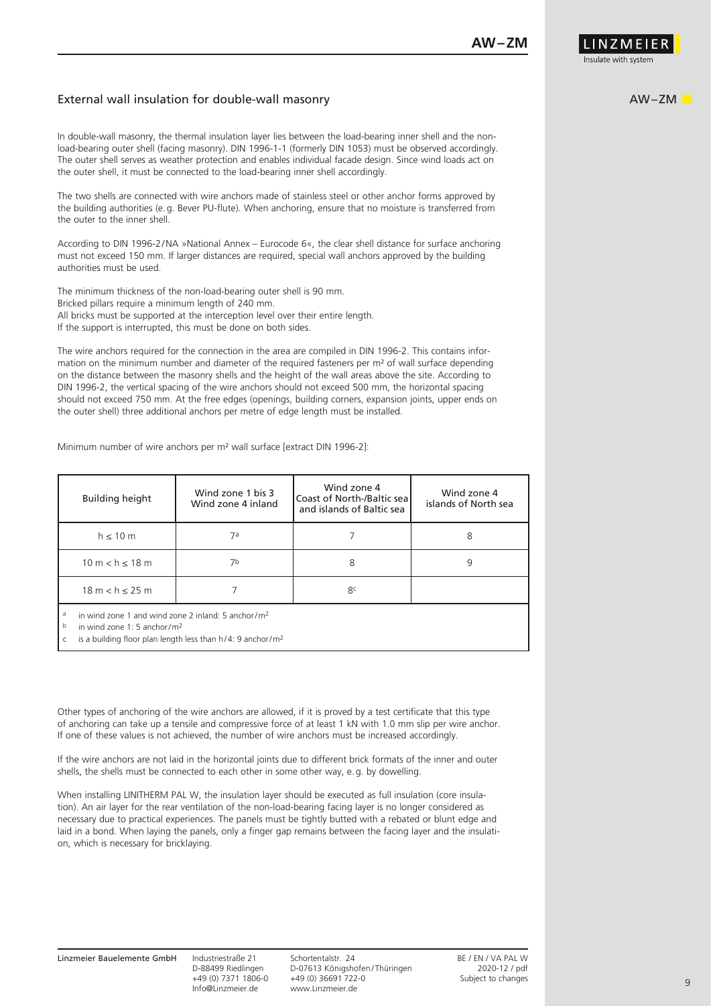

#### External wall insulation for double-wall masonry

In double-wall masonry, the thermal insulation layer lies between the load-bearing inner shell and the nonload-bearing outer shell (facing masonry). DIN 1996-1-1 (formerly DIN 1053) must be observed accordingly. The outer shell serves as weather protection and enables individual facade design. Since wind loads act on the outer shell, it must be connected to the load-bearing inner shell accordingly.

The two shells are connected with wire anchors made of stainless steel or other anchor forms approved by the building authorities (e.g. Bever PU-flute). When anchoring, ensure that no moisture is transferred from the outer to the inner shell.

According to DIN 1996-2/NA »National Annex – Eurocode 6«, the clear shell distance for surface anchoring must not exceed 150 mm. If larger distances are required, special wall anchors approved by the building authorities must be used.

The minimum thickness of the non-load-bearing outer shell is 90 mm. Bricked pillars require a minimum length of 240 mm. All bricks must be supported at the interception level over their entire length. If the support is interrupted, this must be done on both sides.

The wire anchors required for the connection in the area are compiled in DIN 1996-2. This contains information on the minimum number and diameter of the required fasteners per m² of wall surface depending on the distance between the masonry shells and the height of the wall areas above the site. According to DIN 1996-2, the vertical spacing of the wire anchors should not exceed 500 mm, the horizontal spacing should not exceed 750 mm. At the free edges (openings, building corners, expansion joints, upper ends on the outer shell) three additional anchors per metre of edge length must be installed.

Minimum number of wire anchors per m² wall surface [extract DIN 1996-2]:

| <b>Building height</b>                                     | Wind zone 1 bis 3<br>Wind zone 4 inland | Wind zone 4<br>Coast of North-/Baltic seal<br>and islands of Baltic sea | Wind zone 4<br>islands of North sea |  |
|------------------------------------------------------------|-----------------------------------------|-------------------------------------------------------------------------|-------------------------------------|--|
| $h \leq 10$ m                                              | 7а                                      |                                                                         | 8                                   |  |
| $10 m < h \le 18 m$                                        | 7b                                      | 8                                                                       |                                     |  |
| $18 m < h \le 25 m$                                        |                                         | 8c                                                                      |                                     |  |
| in wind zone 1 and wind zone 2 inland: 5 anchor/ $m2$<br>a |                                         |                                                                         |                                     |  |

b in wind zone 1: 5 anchor/m2

c is a building floor plan length less than h/4: 9 anchor/m2

Other types of anchoring of the wire anchors are allowed, if it is proved by a test certificate that this type of anchoring can take up a tensile and compressive force of at least 1 kN with 1.0 mm slip per wire anchor. If one of these values is not achieved, the number of wire anchors must be increased accordingly.

If the wire anchors are not laid in the horizontal joints due to different brick formats of the inner and outer shells, the shells must be connected to each other in some other way, e.g. by dowelling.

When installing LINITHERM PAL W, the insulation layer should be executed as full insulation (core insulation). An air layer for the rear ventilation of the non-load-bearing facing layer is no longer considered as necessary due to practical experiences. The panels must be tightly butted with a rebated or blunt edge and laid in a bond. When laying the panels, only a finger gap remains between the facing layer and the insulation, which is necessary for bricklaying.